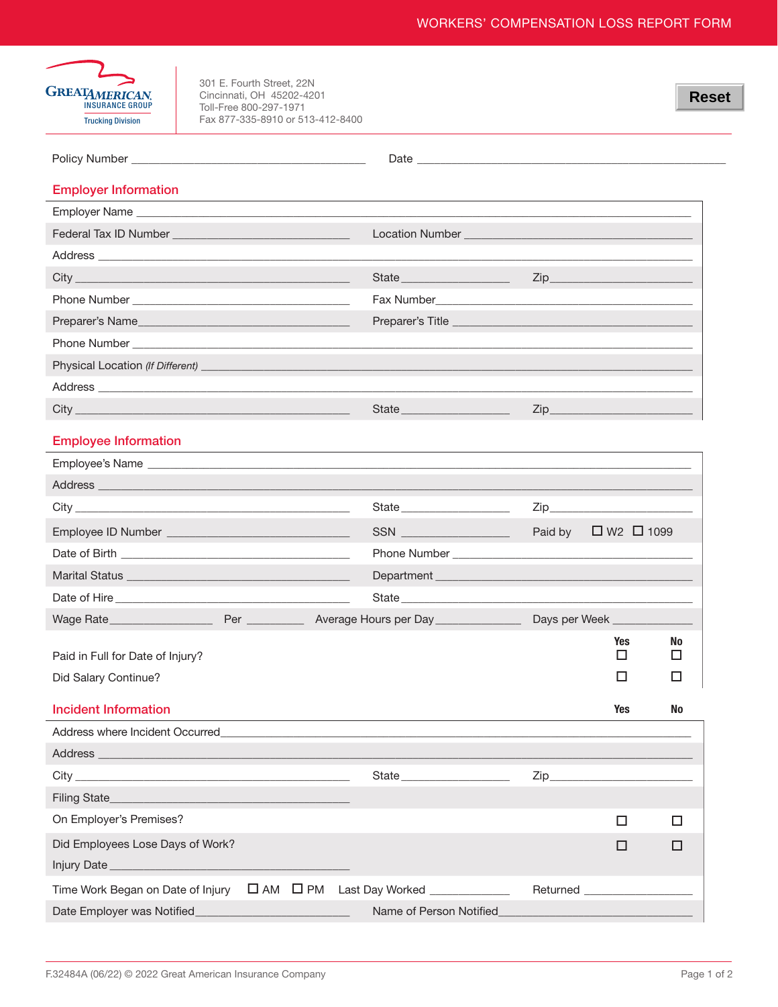

301 E. Fourth Street, 22N Cincinnati, OH 45202-4201<br>Toll-Free 800-297-1971 Fax 877-335-8910 or 513-412-8400

|                                                                                                                                                                                                                                | Date and the contract of the contract of the contract of the contract of the contract of the contract of the contract of the contract of the contract of the contract of the contract of the contract of the contract of the c       |                  |                                   |           |
|--------------------------------------------------------------------------------------------------------------------------------------------------------------------------------------------------------------------------------|--------------------------------------------------------------------------------------------------------------------------------------------------------------------------------------------------------------------------------------|------------------|-----------------------------------|-----------|
| <b>Employer Information</b>                                                                                                                                                                                                    |                                                                                                                                                                                                                                      |                  |                                   |           |
|                                                                                                                                                                                                                                |                                                                                                                                                                                                                                      |                  |                                   |           |
|                                                                                                                                                                                                                                | Location Number <b>Exercise Service Service Service Service Service Service Service Service Service Service Service Service Service Service Service Service Service Service Service Service Service Service Service Service Serv</b> |                  |                                   |           |
| Address and the contract of the contract of the contract of the contract of the contract of the contract of the contract of the contract of the contract of the contract of the contract of the contract of the contract of th |                                                                                                                                                                                                                                      |                  |                                   |           |
|                                                                                                                                                                                                                                | State                                                                                                                                                                                                                                | Zip              |                                   |           |
|                                                                                                                                                                                                                                | Fax Number <b>Example 2018</b>                                                                                                                                                                                                       |                  |                                   |           |
|                                                                                                                                                                                                                                |                                                                                                                                                                                                                                      |                  |                                   |           |
|                                                                                                                                                                                                                                |                                                                                                                                                                                                                                      |                  |                                   |           |
|                                                                                                                                                                                                                                |                                                                                                                                                                                                                                      |                  |                                   |           |
|                                                                                                                                                                                                                                |                                                                                                                                                                                                                                      |                  |                                   |           |
|                                                                                                                                                                                                                                |                                                                                                                                                                                                                                      | $\mathsf{Zip}\_$ |                                   |           |
| <b>Employee Information</b>                                                                                                                                                                                                    |                                                                                                                                                                                                                                      |                  |                                   |           |
|                                                                                                                                                                                                                                |                                                                                                                                                                                                                                      |                  |                                   |           |
|                                                                                                                                                                                                                                |                                                                                                                                                                                                                                      |                  |                                   |           |
|                                                                                                                                                                                                                                | State State                                                                                                                                                                                                                          |                  |                                   |           |
| Employee ID Number ___________________________________                                                                                                                                                                         | SSN ___________________                                                                                                                                                                                                              | Paid by          | $\Box$ W <sub>2</sub> $\Box$ 1099 |           |
|                                                                                                                                                                                                                                |                                                                                                                                                                                                                                      |                  |                                   |           |
|                                                                                                                                                                                                                                |                                                                                                                                                                                                                                      |                  |                                   |           |
|                                                                                                                                                                                                                                | State and the state of the state of the state of the state of the state of the state of the state of the state                                                                                                                       |                  |                                   |           |
|                                                                                                                                                                                                                                |                                                                                                                                                                                                                                      |                  | Days per Week                     |           |
| Paid in Full for Date of Injury?                                                                                                                                                                                               |                                                                                                                                                                                                                                      |                  | <b>Yes</b><br>$\Box$              | No.<br>□  |
| Did Salary Continue?                                                                                                                                                                                                           |                                                                                                                                                                                                                                      |                  | □                                 | ப         |
| <b>Incident Information</b>                                                                                                                                                                                                    |                                                                                                                                                                                                                                      |                  | <b>Yes</b>                        | <b>No</b> |
|                                                                                                                                                                                                                                |                                                                                                                                                                                                                                      |                  |                                   |           |
|                                                                                                                                                                                                                                |                                                                                                                                                                                                                                      |                  |                                   |           |
|                                                                                                                                                                                                                                | State <b>State</b>                                                                                                                                                                                                                   |                  |                                   |           |
|                                                                                                                                                                                                                                |                                                                                                                                                                                                                                      |                  |                                   |           |
| On Employer's Premises?                                                                                                                                                                                                        |                                                                                                                                                                                                                                      |                  | $\Box$                            | $\Box$    |
| Did Employees Lose Days of Work?                                                                                                                                                                                               |                                                                                                                                                                                                                                      |                  | □                                 | □         |
|                                                                                                                                                                                                                                |                                                                                                                                                                                                                                      |                  |                                   |           |
| Time Work Began on Date of Injury $\Box$ AM $\Box$ PM                                                                                                                                                                          | Last Day Worked _____________                                                                                                                                                                                                        |                  | Returned ____________________     |           |
| Date Employer was Notified_                                                                                                                                                                                                    | Name of Person Notified                                                                                                                                                                                                              |                  |                                   |           |